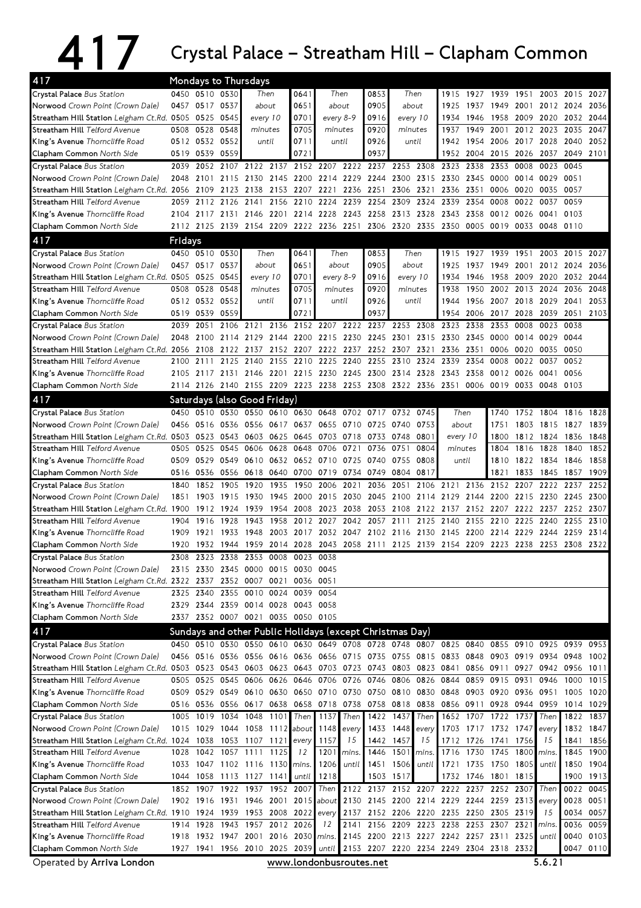## 417 Crystal Palace – Streatham Hill – Clapham Common

| 417                                                                                                                             | Mondays to Thursdays |                                    |                               |                   |           |                       |                  |                                         |                                                          |                              |                |                                                                                           |                |                          |                |                               |              |                   |
|---------------------------------------------------------------------------------------------------------------------------------|----------------------|------------------------------------|-------------------------------|-------------------|-----------|-----------------------|------------------|-----------------------------------------|----------------------------------------------------------|------------------------------|----------------|-------------------------------------------------------------------------------------------|----------------|--------------------------|----------------|-------------------------------|--------------|-------------------|
| Crystal Palace Bus Station                                                                                                      |                      | 0450 0510 0530                     |                               |                   | Then      | 0641                  |                  | Then                                    | 0853                                                     | Then                         |                | 1915                                                                                      | 1927           | 1939                     | 1951           |                               | 2003 2015    | 2027              |
| Norwood Crown Point (Crown Dale)                                                                                                |                      | 0457 0517 0537                     |                               | about             |           | 0651                  |                  | about                                   | 0905                                                     | about                        |                | 1925                                                                                      | 1937           | 1949                     | 2001           | 2012 2024                     |              | 2036              |
| Streatham Hill Station Leigham Ct.Rd. 0505 0525 0545                                                                            |                      |                                    |                               | every 10          |           | 0701                  |                  | every 8-9                               | 0916                                                     | every 10                     |                | 1934                                                                                      | 1946           | 1958                     | 2009           | 2020                          | 2032         | 2044              |
| Streatham Hill Telford Avenue                                                                                                   | 0508                 | 0528                               | 0548                          | minutes           |           | 0705                  |                  | minutes                                 | 0920                                                     | minutes                      |                | 1937                                                                                      | 1949           | 2001                     | 2012           | 2023                          | 2035         | 2047              |
| King's Avenue Thorncliffe Road                                                                                                  |                      | 0512 0532 0552                     |                               | until             |           | 0711                  |                  | until                                   | 0926                                                     |                              | until          | 1942                                                                                      | 1954           | 2006                     | 2017 2028      |                               | 2040         | 2052              |
| Clapham Common North Side                                                                                                       |                      | 0519 0539                          | 0559                          |                   |           | 0721                  |                  |                                         | 0937                                                     |                              |                | 1952                                                                                      | 2004           | 2015                     | 2026           | 2037                          | 2049         | 2101              |
| Crystal Palace Bus Station                                                                                                      | 2039                 | 2052                               | 2107                          | 2122              | 2137      |                       | 2152 2207        | 2222                                    | 2237                                                     | 2253                         | 2308           | 2323                                                                                      | 2338           | 2353                     | 0008           | 0023                          | 0045         |                   |
| Norwood Crown Point (Crown Dale)                                                                                                | 2048                 | 2101                               | 2115                          | 2130              | 2145      | 2200                  | 2214             | 2229                                    | 2244                                                     | 2300                         | 2315           | 2330                                                                                      | 2345           | 0000                     | 0014 0029      |                               | 0051         |                   |
| Streatham Hill Station Leigham Ct.Rd. 2056                                                                                      |                      | 2109                               | 2123                          | 2138              | 2153 2207 |                       | 2221             | 2236                                    | 2251                                                     | 2306                         | 2321           | 2336 2351                                                                                 |                | 0006                     | 0020 0035      |                               | 0057         |                   |
| Streatham Hill Telford Avenue                                                                                                   | 2059                 | 2112                               | 2126                          | 2141              | 2156      | 2210                  | 2224             | 2239                                    | 2254                                                     | 2309                         | 2324           | 2339                                                                                      | 2354           | 0008                     | 0022           | 0037                          | 0059         |                   |
| King's Avenue Thorncliffe Road                                                                                                  | 2104                 | 2117                               | 2131                          | 2146              | 2201      | 2214                  | 2228             | 2243                                    | 2258                                                     | 2313                         | 2328           | 2343                                                                                      | 2358           | 0012                     | 0026           | 0041                          | 0103         |                   |
| Clapham Common North Side                                                                                                       |                      | 2112 2125 2139 2154 2209 2222 2236 |                               |                   |           |                       |                  | 2251                                    | 2306                                                     | 2320 2335                    |                | 2350 0005                                                                                 |                | 0019                     |                | 0033 0048 0110                |              |                   |
| 417                                                                                                                             | Fridays              |                                    |                               |                   |           |                       |                  |                                         |                                                          |                              |                |                                                                                           |                |                          |                |                               |              |                   |
| Crystal Palace Bus Station                                                                                                      |                      | 0450 0510 0530                     |                               |                   | Then      | 0641                  |                  | Then                                    | 0853                                                     |                              | Then           | 1915                                                                                      |                |                          |                | 1927 1939 1951 2003 2015 2027 |              |                   |
| Norwood Crown Point (Crown Dale)                                                                                                |                      | 0457 0517                          | 0537                          | about             |           | 0651                  |                  | about                                   | 0905                                                     | about                        |                | 1925                                                                                      | 1937           | 1949                     | 2001           | 2012                          | 2024         | 2036              |
| Streatham Hill Station Leigham Ct.Rd. 0505 0525 0545                                                                            |                      |                                    |                               | every 10          |           | 0701                  |                  | every 8-9                               | 0916                                                     | every 10                     |                | 1934                                                                                      | 1946           |                          | 1958 2009 2020 |                               | 2032         | 2044              |
| Streatham Hill Telford Avenue                                                                                                   | 0508                 | 0528                               | 0548                          | minutes<br>until  |           | 0705                  | minutes<br>until |                                         | 0920                                                     | minutes<br>until             |                | 1938                                                                                      | 1950           |                          | 2002 2013 2024 |                               | 2036         | 2048              |
| King's Avenue Thorncliffe Road                                                                                                  |                      | 0512 0532                          | 0552<br>0559                  |                   |           | 0711<br>$072^{\circ}$ |                  |                                         | 0926<br>0937                                             |                              |                | 1944                                                                                      | 1956           | 2007                     | 2018 2029      |                               | 2041<br>2051 | 2053<br>2103      |
| Clapham Common North Side<br>Crystal Palace Bus Station                                                                         |                      | 0519 0539                          |                               |                   |           |                       |                  |                                         |                                                          |                              |                | 1954                                                                                      | 2006<br>2338   | 2017<br>2353             | 2028<br>0008   | 2039<br>0023                  | 0038         |                   |
| Norwood Crown Point (Crown Dale)                                                                                                | 2039<br>2048         | 2051<br>2100                       | 2114                          | 2106 2121<br>2129 |           | 2144 2200             | 2215             | 2230                                    | 2136 2152 2207 2222 2237 2253 2308<br>2245               | 2301                         | 2315           | 2323<br>2330 2345                                                                         |                | 0000                     | 0014 0029      |                               | 0044         |                   |
| Streatham Hill Station Leigham Ct.Rd. 2056                                                                                      |                      | 2108                               | 2122                          | 2137              |           | 2152 2207 2222        |                  | 2237                                    |                                                          | 2252 2307 2321               |                | 2336 2351                                                                                 |                | 0006                     | 0020           | 0035                          | 0050         |                   |
| Streatham Hill Telford Avenue                                                                                                   | 2100                 | 2111                               | 2125                          | 2140              | 2155      | 2210                  | 2225             | 2240                                    | 2255                                                     | 2310                         | 2324           | 2339                                                                                      | 2354           | 0008                     | 0022 0037      |                               | 0052         |                   |
| King's Avenue Thorncliffe Road                                                                                                  | 2105                 | 2117                               | 2131 2146                     |                   |           | 2201 2215             | 2230             |                                         | 2245 2300                                                | 2314 2328                    |                | 2343                                                                                      | 2358           |                          | 0012 0026 0041 |                               | 0056         |                   |
| Clapham Common North Side                                                                                                       |                      | 2114 2126 2140 2155 2209 2223 2238 |                               |                   |           |                       |                  |                                         |                                                          |                              |                | 2253 2308 2322 2336 2351                                                                  |                | 0006 0019                |                | 0033 0048 0103                |              |                   |
| 417                                                                                                                             |                      | Saturdays (also Good Friday)       |                               |                   |           |                       |                  |                                         |                                                          |                              |                |                                                                                           |                |                          |                |                               |              |                   |
| Crystal Palace Bus Station                                                                                                      |                      | 0450 0510 0530 0550 0610 0630 0648 |                               |                   |           |                       |                  |                                         | 0702 0717 0732 0745                                      |                              |                | Then                                                                                      |                | 1740                     |                | 1752 1804 1816 1828           |              |                   |
| Norwood Crown Point (Crown Dale)                                                                                                | 0456                 | 0516                               | 0536                          | 0556              |           | 0617 0637             | 0655             | 0710                                    | 0725 0740                                                |                              | 0753           | about                                                                                     |                | 1751                     |                | 1803 1815                     | 1827         | 1839              |
| Streatham Hill Station Leigham Ct.Rd. 0503                                                                                      |                      | 0523                               | 0543                          | 0603              | 0625      | 0645                  | 0703             |                                         | 0718 0733 0748                                           |                              | 0801           | every 10                                                                                  |                | 1800                     |                | 1812 1824                     | 1836         | 1848              |
| Streatham Hill Telford Avenue                                                                                                   | 0505                 | 0525                               | 0545                          | 0606              | 0628      | 0648                  | 0706             | 0721                                    | 0736                                                     | 0751                         | 0804           | minutes                                                                                   |                | 1804                     | 1816           | 1828                          | 1840         | 1852              |
| King's Avenue Thorncliffe Road                                                                                                  | 0509                 | 0529                               | 0549                          | 0610              |           | 0632 0652 0710        |                  | 0725                                    | 0740                                                     | 0755                         | 0808           | until                                                                                     |                | 1810                     |                | 1822 1834                     | 1846         | 1858              |
| Clapham Common North Side                                                                                                       | 0516                 | 0536                               |                               | 0556 0618         |           | 0640 0700             | 0719             |                                         | 0734 0749                                                | 0804                         | 0817           |                                                                                           |                | 1821                     | 1833           | 1845                          | 1857         | 1909              |
| Crystal Palace Bus Station                                                                                                      | 1840                 | 1852                               | 1905                          | 1920              | 1935      | 1950                  | 2006             | 2021                                    | 2036                                                     | 2051                         | 2106           | 2121                                                                                      | 2136           | 2152                     | 2207           | 2222                          | 2237         | 2252              |
| Norwood Crown Point (Crown Dale)                                                                                                | 1851                 | 1903                               | 1915                          | 1930              | 1945      | 2000                  | 2015             | 2030                                    | 2045                                                     | 2100                         | 2114           | 2129                                                                                      | 2144           | 2200                     | 2215 2230      |                               | 2245         | 2300              |
| Streatham Hill Station Leigham Ct.Rd. 1900                                                                                      |                      | 1912                               | 1924                          | 1939              |           | 1954 2008             | 2023             | 2038                                    | 2053                                                     | 2108                         |                | 2122 2137                                                                                 | 2152           | 2207                     | 2222 2237      |                               | 2252         | 2307              |
| Streatham Hill Telford Avenue                                                                                                   | 1904                 | 1916                               | 1928                          | 1943              | 1958      | 2012                  | 2027             | 2042                                    | 2057                                                     | 2111                         | 2125           | 2140                                                                                      | 2155           | 2210                     |                | 2225 2240                     | 2255         | 2310              |
| King's Avenue Thorncliffe Road                                                                                                  | 1909                 | 1921                               | 1933                          | 1948              |           | 2003 2017             | 2032             |                                         | 2047 2102 2116                                           |                              |                | 2130 2145 2200                                                                            |                | 2214                     | 2229 2244      |                               | 2259         | 2314              |
| Clapham Common North Side                                                                                                       |                      |                                    |                               |                   |           |                       |                  |                                         |                                                          |                              |                | 1920 1932 1944 1959 2014 2028 2043 2058 2111 2125 2139 2154 2209 2223 2238 2253 2308 2322 |                |                          |                |                               |              |                   |
| Crystal Palace Bus Station                                                                                                      | 2308                 |                                    | 2323 2338 2353 0008 0023 0038 |                   |           |                       |                  |                                         |                                                          |                              |                |                                                                                           |                |                          |                |                               |              |                   |
| Norwood Crown Point (Crown Dale)                                                                                                | 2315                 |                                    | 2330 2345 0000 0015 0030 0045 |                   |           |                       |                  |                                         |                                                          |                              |                |                                                                                           |                |                          |                |                               |              |                   |
| Streatham Hill Station Leigham Ct.Rd. 2322 2337 2352 0007 0021 0036 0051                                                        |                      |                                    |                               |                   |           |                       |                  |                                         |                                                          |                              |                |                                                                                           |                |                          |                |                               |              |                   |
| Streatham Hill Telford Avenue                                                                                                   |                      | 2325 2340 2355 0010 0024 0039 0054 |                               |                   |           |                       |                  |                                         |                                                          |                              |                |                                                                                           |                |                          |                |                               |              |                   |
| King's Avenue Thorncliffe Road                                                                                                  |                      | 2329 2344 2359 0014 0028 0043 0058 |                               |                   |           |                       |                  |                                         |                                                          |                              |                |                                                                                           |                |                          |                |                               |              |                   |
| Clapham Common North Side                                                                                                       |                      | 2337 2352 0007 0021 0035 0050 0105 |                               |                   |           |                       |                  |                                         |                                                          |                              |                |                                                                                           |                |                          |                |                               |              |                   |
| 417                                                                                                                             |                      |                                    |                               |                   |           |                       |                  |                                         | Sundays and other Public Holidays (except Christmas Day) |                              |                |                                                                                           |                |                          |                |                               |              |                   |
| Crystal Palace Bus Station                                                                                                      |                      |                                    |                               |                   |           |                       |                  |                                         |                                                          |                              |                | 0450 0510 0530 0550 0610 0630 0649 0708 0728 0748 0807 0825 0840 0855 0910 0925 0939 0953 |                |                          |                |                               |              |                   |
| Norwood Crown Point (Crown Dale)                                                                                                |                      |                                    |                               |                   |           |                       |                  |                                         |                                                          |                              |                | 0456 0516 0536 0556 0616 0636 0656 0715 0735 0755 0815 0833 0848 0903 0919 0934 0948      |                |                          |                |                               |              | 1002              |
| Streatham Hill Station Leigham Ct.Rd. 0503 0523 0543 0603 0623 0643 0703 0723 0743 0803 0823 0841 0856 0911 0927 0942 0956 1011 |                      |                                    |                               |                   |           |                       |                  |                                         |                                                          |                              |                |                                                                                           |                |                          |                |                               |              |                   |
| Streatham Hill Telford Avenue                                                                                                   |                      |                                    |                               |                   |           |                       |                  |                                         | 0505 0525 0545 0606 0626 0646 0706 0726 0746 0806 0826   |                              |                |                                                                                           |                | 0844 0859 0915 0931 0946 |                |                               | 1000         | 1015              |
| King's Avenue Thorncliffe Road                                                                                                  |                      |                                    |                               |                   |           |                       |                  |                                         |                                                          |                              |                | 0509 0529 0549 0610 0630 0650 0710 0730 0750 0810 0830 0848 0903 0920 0936 0951           |                |                          |                |                               | 1005         | 1020              |
| Clapham Common North Side                                                                                                       |                      |                                    |                               |                   |           |                       |                  |                                         |                                                          |                              |                | 0516 0536 0556 0617 0638 0658 0718 0738 0758 0818 0838 0856 0911 0928 0944 0959           |                |                          |                |                               |              | 1014 1029         |
| Crystal Palace Bus Station                                                                                                      |                      |                                    |                               |                   |           |                       |                  | 1005 1019 1034 1048 1101 Then 1137 Then |                                                          | 1422 1437 Then               |                |                                                                                           |                | 1652 1707 1722 1737      |                | Then                          |              | 1822 1837         |
| Norwood Crown Point (Crown Dale)                                                                                                |                      | 1015 1029 1044 1058 1112 about     |                               |                   |           |                       |                  | 1148 every<br>15                        |                                                          | 1433 1448 every<br>1442 1457 | 15             |                                                                                           | 1712 1726 1741 | 1703 1717 1732 1747      | 1756           | every<br>15                   | 1841         | 1832 1847         |
| Streatham Hill Station Leigham Ct.Rd. 1024 1038 1053 1107 1121<br>Streatham Hill Telford Avenue                                 |                      | 1028 1042 1057 1111 1125           |                               |                   |           | every<br>12           | 1157<br>1201     |                                         | 1446                                                     | 1501                         |                |                                                                                           |                | 1716 1730 1745 1800      |                | mins.                         |              | 1856<br>1845 1900 |
| King's Avenue Thorncliffe Road                                                                                                  |                      | 1033 1047 1102 1116 1130 mins.     |                               |                   |           |                       | 1206             | mins.<br>until                          |                                                          | 1451 1506                    | mins.<br>until |                                                                                           |                | 1721 1735 1750 1805      |                | until                         |              | 1850 1904         |
| Clapham Common North Side                                                                                                       |                      | 1044 1058 1113 1127 1141           |                               |                   |           | until                 | 1218             |                                         |                                                          | 1503 1517                    |                |                                                                                           |                | 1732 1746 1801 1815      |                |                               |              | 1900 1913         |
| Crystal Palace Bus Station                                                                                                      |                      | 1852 1907                          | 1922 1937 1952 2007           |                   |           |                       |                  |                                         |                                                          |                              |                | Then 2122 2137 2152 2207 2222 2237 2252 2307                                              |                |                          |                | Then                          |              | 0022 0045         |
| Norwood Crown Point (Crown Dale)                                                                                                |                      | 1902 1916 1931 1946                |                               |                   |           |                       |                  |                                         |                                                          |                              |                | 2001 2015 about 2130 2145 2200 2214 2229 2244 2259 2313                                   |                |                          |                | every                         |              | 0028 0051         |
| Streatham Hill Station Leigham Ct.Rd. 1910 1924 1939 1953 2008 2022                                                             |                      |                                    |                               |                   |           |                       | every            |                                         |                                                          |                              |                | 2137 2152 2206 2220 2235 2250 2305 2319                                                   |                |                          |                | 15                            |              | 0034 0057         |
| Streatham Hill Telford Avenue                                                                                                   |                      | 1914 1928                          |                               | 1943 1957         |           | 2012 2026             | 12               | 2141                                    |                                                          |                              |                | 2156 2209 2223 2238 2253 2307                                                             |                |                          | 2321           | mins.                         |              | 0036 0059         |
| King's Avenue Thorncliffe Road                                                                                                  |                      | 1918 1932 1947 2001 2016 2030      |                               |                   |           |                       | mins.            |                                         |                                                          |                              |                | 2145 2200 2213 2227 2242 2257 2311 2325                                                   |                |                          |                | until                         |              | 0040 0103         |
| Clapham Common North Side                                                                                                       |                      | 1927 1941 1956 2010 2025 2039      |                               |                   |           |                       |                  |                                         |                                                          |                              |                | until 2153 2207 2220 2234 2249 2304 2318 2332                                             |                |                          |                |                               |              | 0047 0110         |
| Operated by Arriva London                                                                                                       |                      |                                    |                               |                   |           |                       |                  |                                         | www.londonbusroutes.net                                  |                              |                |                                                                                           |                |                          |                | 5.6.21                        |              |                   |